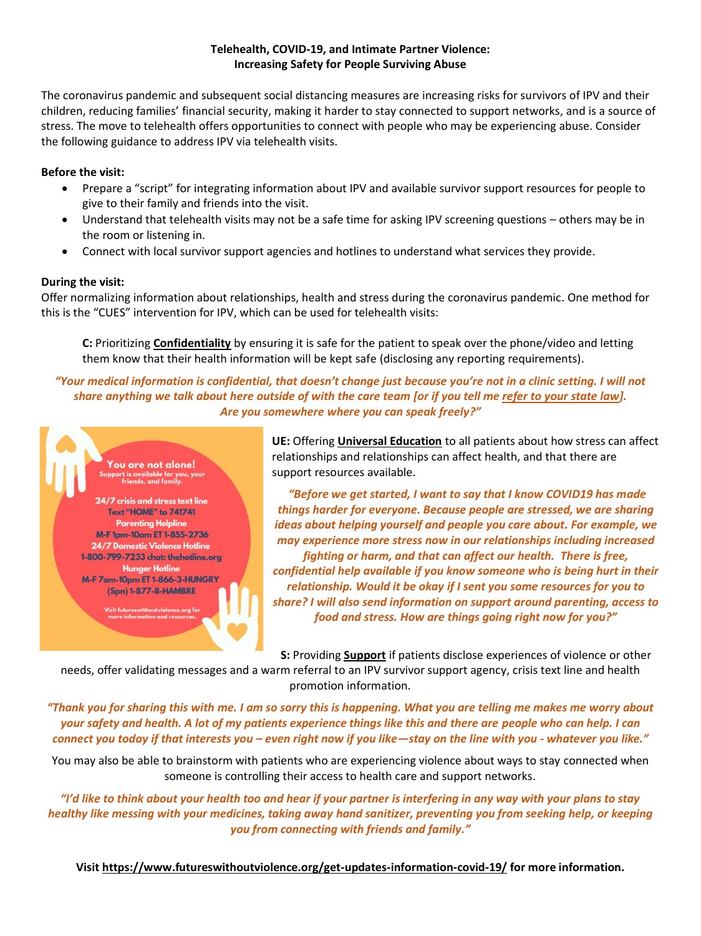## **Telehealth, COVID-19, and Intimate Partner Violence: Increasing Safety for People Surviving Abuse**

The coronavirus pandemic and subsequent social distancing measures are increasing risks for survivors of IPV and their children, reducing families' financial security, making it harder to stay connected to support networks, and is a source of stress. The move to telehealth offers opportunities to connect with people who may be experiencing abuse. Consider the following guidance to address IPV via telehealth visits.

## **Before the visit:**

- Prepare a "script" for integrating information about IPV and available survivor support resources for people to give to their family and friends into the visit.
- Understand that telehealth visits may not be a safe time for asking IPV screening questions others may be in the room or listening in.
- Connect with local survivor support agencies and hotlines to understand what services they provide.

## **During the visit:**

Offer normalizing information about relationships, health and stress during the coronavirus pandemic. One method for this is the "CUES" intervention for IPV, which can be used for telehealth visits:

**C:** Prioritizing **Confidentiality** by ensuring it is safe for the patient to speak over the phone/video and letting them know that their health information will be kept safe (disclosing any reporting requirements).

*"Your medical information is confidential, that doesn't change just because you're not in a clinic setting. I will not share anything we talk about here outside of with the care team [or if you tell me refer to your state law]. Are you somewhere where you can speak freely?"*



**UE:** Offering **Universal Education** to all patients about how stress can affect relationships and relationships can affect health, and that there are support resources available.

*"Before we get started, I want to say that I know COVID19 has made things harder for everyone. Because people are stressed, we are sharing ideas about helping yourself and people you care about. For example, we may experience more stress now in our relationships including increased fighting or harm, and that can affect our health. There is free, confidential help available if you know someone who is being hurt in their relationship. Would it be okay if I sent you some resources for you to share? I will also send information on support around parenting, access to food and stress. How are things going right now for you?"*

**S:** Providing **Support** if patients disclose experiences of violence or other

needs, offer validating messages and a warm referral to an IPV survivor support agency, crisis text line and health promotion information.

*"Thank you for sharing this with me. I am so sorry this is happening. What you are telling me makes me worry about your safety and health. A lot of my patients experience things like this and there are people who can help. I can connect you today if that interests you – even right now if you like—stay on the line with you - whatever you like."*

You may also be able to brainstorm with patients who are experiencing violence about ways to stay connected when someone is controlling their access to health care and support networks.

*"I'd like to think about your health too and hear if your partner is interfering in any way with your plans to stay healthy like messing with your medicines, taking away hand sanitizer, preventing you from seeking help, or keeping you from connecting with friends and family."*

**Visit <https://www.futureswithoutviolence.org/get-updates-information-covid-19/> for more information.**